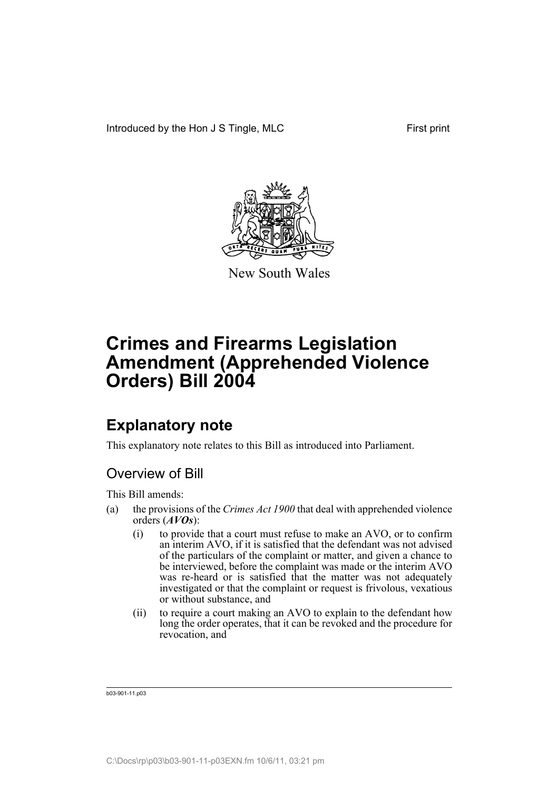Introduced by the Hon J S Tingle, MLC First print



New South Wales

# **Crimes and Firearms Legislation Amendment (Apprehended Violence Orders) Bill 2004**

## **Explanatory note**

This explanatory note relates to this Bill as introduced into Parliament.

## Overview of Bill

This Bill amends:

- (a) the provisions of the *Crimes Act 1900* that deal with apprehended violence orders (*AVOs*):
	- (i) to provide that a court must refuse to make an AVO, or to confirm an interim AVO, if it is satisfied that the defendant was not advised of the particulars of the complaint or matter, and given a chance to be interviewed, before the complaint was made or the interim AVO was re-heard or is satisfied that the matter was not adequately investigated or that the complaint or request is frivolous, vexatious or without substance, and
	- (ii) to require a court making an AVO to explain to the defendant how long the order operates, that it can be revoked and the procedure for revocation, and

b03-901-11.p03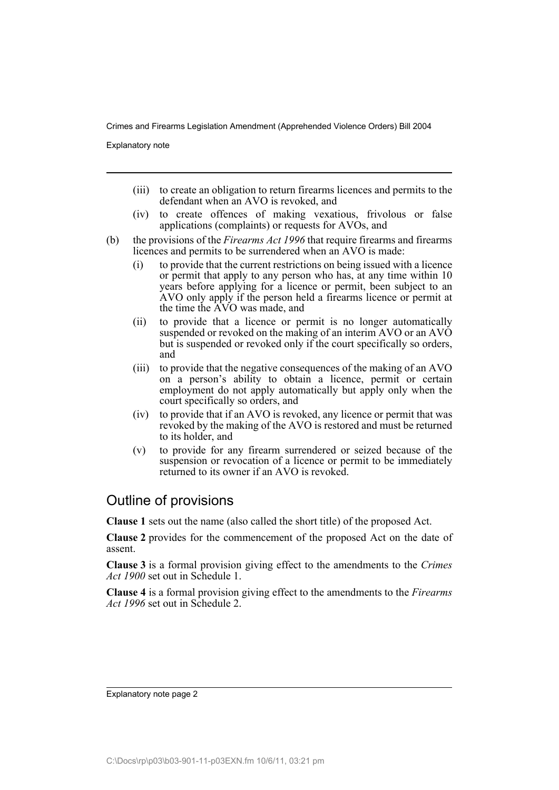Explanatory note

- (iii) to create an obligation to return firearms licences and permits to the defendant when an AVO is revoked, and
- (iv) to create offences of making vexatious, frivolous or false applications (complaints) or requests for AVOs, and
- (b) the provisions of the *Firearms Act 1996* that require firearms and firearms licences and permits to be surrendered when an AVO is made:
	- (i) to provide that the current restrictions on being issued with a licence or permit that apply to any person who has, at any time within 10 years before applying for a licence or permit, been subject to an AVO only apply if the person held a firearms licence or permit at the time the AVO was made, and
	- (ii) to provide that a licence or permit is no longer automatically suspended or revoked on the making of an interim AVO or an AVO but is suspended or revoked only if the court specifically so orders, and
	- (iii) to provide that the negative consequences of the making of an AVO on a person's ability to obtain a licence, permit or certain employment do not apply automatically but apply only when the court specifically so orders, and
	- (iv) to provide that if an AVO is revoked, any licence or permit that was revoked by the making of the AVO is restored and must be returned to its holder, and
	- (v) to provide for any firearm surrendered or seized because of the suspension or revocation of a licence or permit to be immediately returned to its owner if an AVO is revoked.

## Outline of provisions

**Clause 1** sets out the name (also called the short title) of the proposed Act.

**Clause 2** provides for the commencement of the proposed Act on the date of assent.

**Clause 3** is a formal provision giving effect to the amendments to the *Crimes Act 1900* set out in Schedule 1.

**Clause 4** is a formal provision giving effect to the amendments to the *Firearms Act 1996* set out in Schedule 2.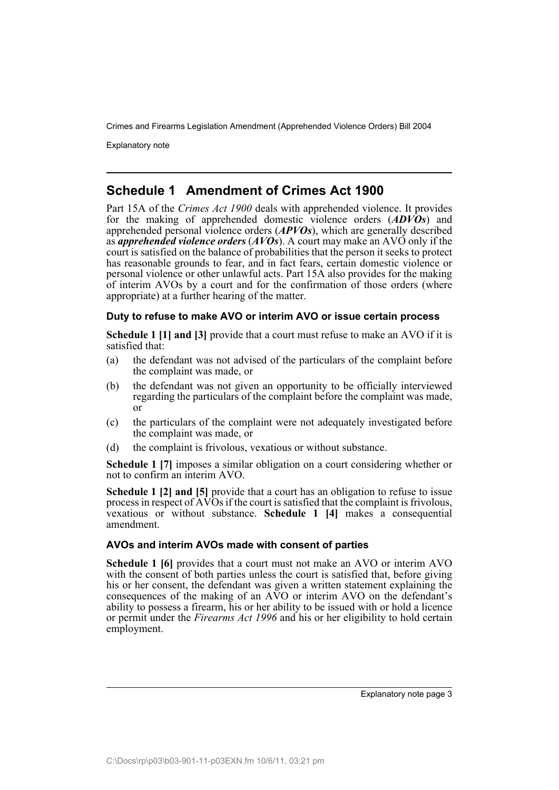Explanatory note

## **Schedule 1 Amendment of Crimes Act 1900**

Part 15A of the *Crimes Act 1900* deals with apprehended violence. It provides for the making of apprehended domestic violence orders (*ADVOs*) and apprehended personal violence orders (*APVOs*), which are generally described as *apprehended violence orders* (*AVOs*). A court may make an AVO only if the court is satisfied on the balance of probabilities that the person it seeks to protect has reasonable grounds to fear, and in fact fears, certain domestic violence or personal violence or other unlawful acts. Part 15A also provides for the making of interim AVOs by a court and for the confirmation of those orders (where appropriate) at a further hearing of the matter.

## **Duty to refuse to make AVO or interim AVO or issue certain process**

**Schedule 1 [1] and [3]** provide that a court must refuse to make an AVO if it is satisfied that:

- (a) the defendant was not advised of the particulars of the complaint before the complaint was made, or
- (b) the defendant was not given an opportunity to be officially interviewed regarding the particulars of the complaint before the complaint was made, or
- (c) the particulars of the complaint were not adequately investigated before the complaint was made, or
- (d) the complaint is frivolous, vexatious or without substance.

**Schedule 1 [7]** imposes a similar obligation on a court considering whether or not to confirm an interim AVO.

**Schedule 1 [2] and [5]** provide that a court has an obligation to refuse to issue process in respect of  $\widehat{AVOs}$  if the court is satisfied that the complaint is frivolous, vexatious or without substance. **Schedule 1 [4]** makes a consequential amendment.

## **AVOs and interim AVOs made with consent of parties**

**Schedule 1 [6]** provides that a court must not make an AVO or interim AVO with the consent of both parties unless the court is satisfied that, before giving his or her consent, the defendant was given a written statement explaining the consequences of the making of an AVO or interim AVO on the defendant's ability to possess a firearm, his or her ability to be issued with or hold a licence or permit under the *Firearms Act 1996* and his or her eligibility to hold certain employment.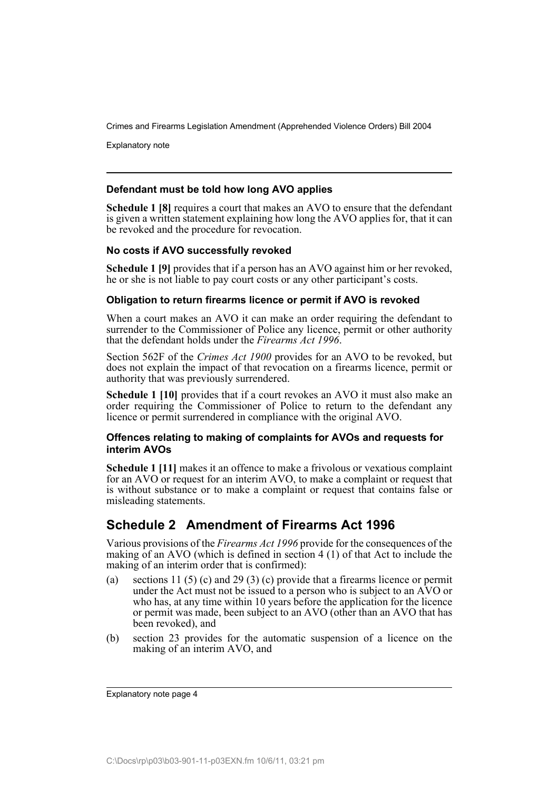Explanatory note

## **Defendant must be told how long AVO applies**

**Schedule 1 [8]** requires a court that makes an AVO to ensure that the defendant is given a written statement explaining how long the AVO applies for, that it can be revoked and the procedure for revocation.

## **No costs if AVO successfully revoked**

**Schedule 1 [9]** provides that if a person has an AVO against him or her revoked, he or she is not liable to pay court costs or any other participant's costs.

### **Obligation to return firearms licence or permit if AVO is revoked**

When a court makes an AVO it can make an order requiring the defendant to surrender to the Commissioner of Police any licence, permit or other authority that the defendant holds under the *Firearms Act 1996*.

Section 562F of the *Crimes Act 1900* provides for an AVO to be revoked, but does not explain the impact of that revocation on a firearms licence, permit or authority that was previously surrendered.

**Schedule 1 [10]** provides that if a court revokes an AVO it must also make an order requiring the Commissioner of Police to return to the defendant any licence or permit surrendered in compliance with the original AVO.

## **Offences relating to making of complaints for AVOs and requests for interim AVOs**

**Schedule 1 [11]** makes it an offence to make a frivolous or vexatious complaint for an AVO or request for an interim AVO, to make a complaint or request that is without substance or to make a complaint or request that contains false or misleading statements.

## **Schedule 2 Amendment of Firearms Act 1996**

Various provisions of the *Firearms Act 1996* provide for the consequences of the making of an AVO (which is defined in section 4 (1) of that Act to include the making of an interim order that is confirmed):

- (a) sections 11 (5) (c) and 29 (3) (c) provide that a firearms licence or permit under the Act must not be issued to a person who is subject to an AVO or who has, at any time within 10 years before the application for the licence or permit was made, been subject to an AVO (other than an AVO that has been revoked), and
- (b) section 23 provides for the automatic suspension of a licence on the making of an interim AVO, and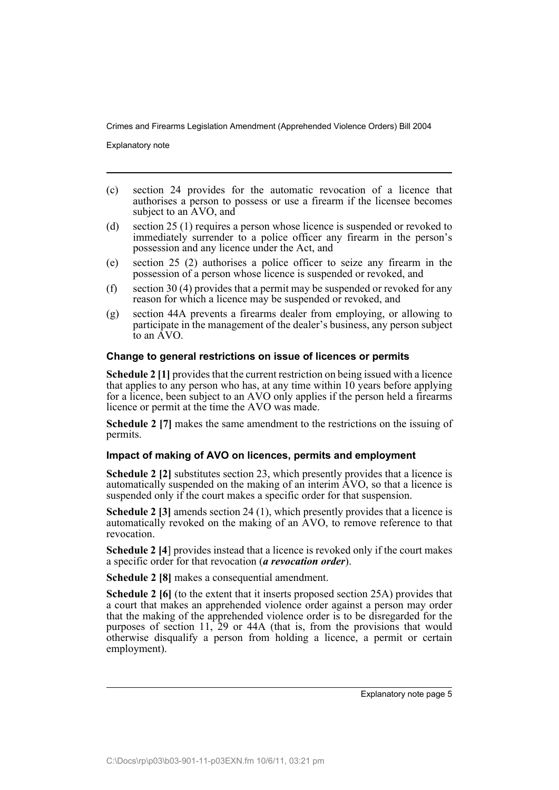Explanatory note

- (c) section 24 provides for the automatic revocation of a licence that authorises a person to possess or use a firearm if the licensee becomes subject to an AVO, and
- (d) section 25 (1) requires a person whose licence is suspended or revoked to immediately surrender to a police officer any firearm in the person's possession and any licence under the Act, and
- (e) section 25 (2) authorises a police officer to seize any firearm in the possession of a person whose licence is suspended or revoked, and
- (f) section 30 (4) provides that a permit may be suspended or revoked for any reason for which a licence may be suspended or revoked, and
- (g) section 44A prevents a firearms dealer from employing, or allowing to participate in the management of the dealer's business, any person subject to an AVO.

## **Change to general restrictions on issue of licences or permits**

**Schedule 2 [1]** provides that the current restriction on being issued with a licence that applies to any person who has, at any time within 10 years before applying for a licence, been subject to an AVO only applies if the person held a firearms licence or permit at the time the AVO was made.

**Schedule 2 [7]** makes the same amendment to the restrictions on the issuing of permits.

## **Impact of making of AVO on licences, permits and employment**

**Schedule 2 [2]** substitutes section 23, which presently provides that a licence is automatically suspended on the making of an interim AVO, so that a licence is suspended only if the court makes a specific order for that suspension.

**Schedule 2 [3]** amends section 24 (1), which presently provides that a licence is automatically revoked on the making of an AVO, to remove reference to that revocation.

**Schedule 2 [4**] provides instead that a licence is revoked only if the court makes a specific order for that revocation (*a revocation order*).

**Schedule 2 [8]** makes a consequential amendment.

**Schedule 2 [6]** (to the extent that it inserts proposed section 25A) provides that a court that makes an apprehended violence order against a person may order that the making of the apprehended violence order is to be disregarded for the purposes of section 11, 29 or 44A (that is, from the provisions that would otherwise disqualify a person from holding a licence, a permit or certain employment).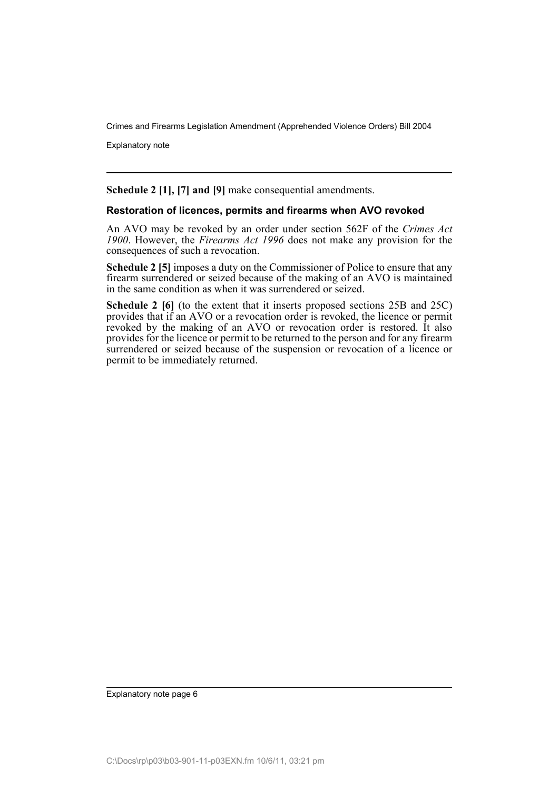Explanatory note

**Schedule 2 [1], [7] and [9]** make consequential amendments.

### **Restoration of licences, permits and firearms when AVO revoked**

An AVO may be revoked by an order under section 562F of the *Crimes Act 1900*. However, the *Firearms Act 1996* does not make any provision for the consequences of such a revocation.

**Schedule 2 [5]** imposes a duty on the Commissioner of Police to ensure that any firearm surrendered or seized because of the making of an AVO is maintained in the same condition as when it was surrendered or seized.

**Schedule 2 [6]** (to the extent that it inserts proposed sections 25B and 25C) provides that if an AVO or a revocation order is revoked, the licence or permit revoked by the making of an AVO or revocation order is restored. It also provides for the licence or permit to be returned to the person and for any firearm surrendered or seized because of the suspension or revocation of a licence or permit to be immediately returned.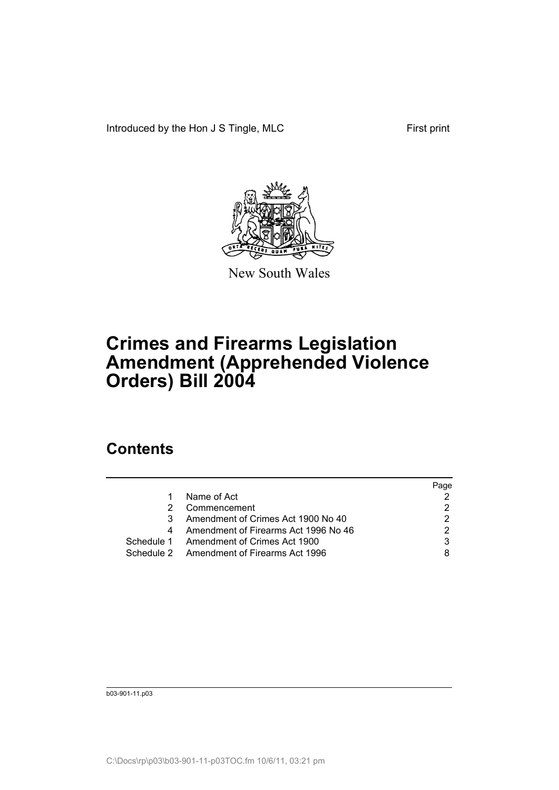Introduced by the Hon J S Tingle, MLC First print



New South Wales

## **Crimes and Firearms Legislation Amendment (Apprehended Violence Orders) Bill 2004**

## **Contents**

|                                           | Page |
|-------------------------------------------|------|
| Name of Act                               |      |
| Commencement                              |      |
| Amendment of Crimes Act 1900 No 40        |      |
| Amendment of Firearms Act 1996 No 46      |      |
| Schedule 1 Amendment of Crimes Act 1900   | 3    |
| Schedule 2 Amendment of Firearms Act 1996 |      |
|                                           |      |

b03-901-11.p03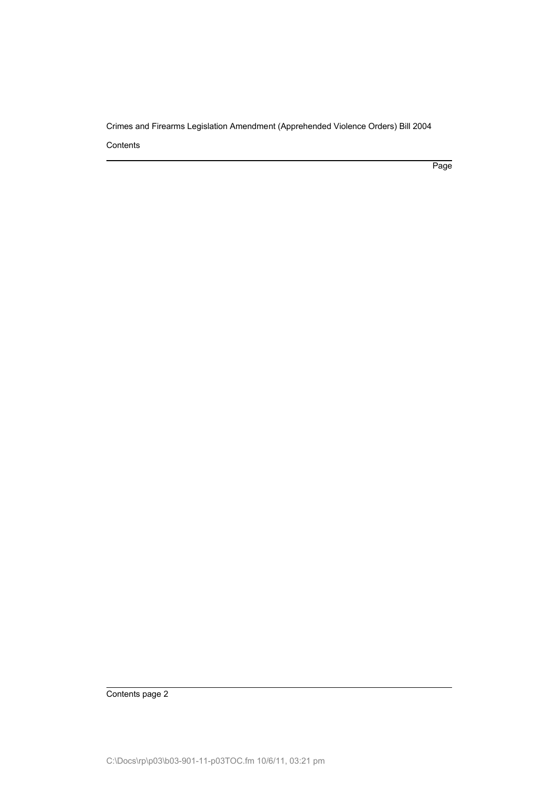Page

Contents page 2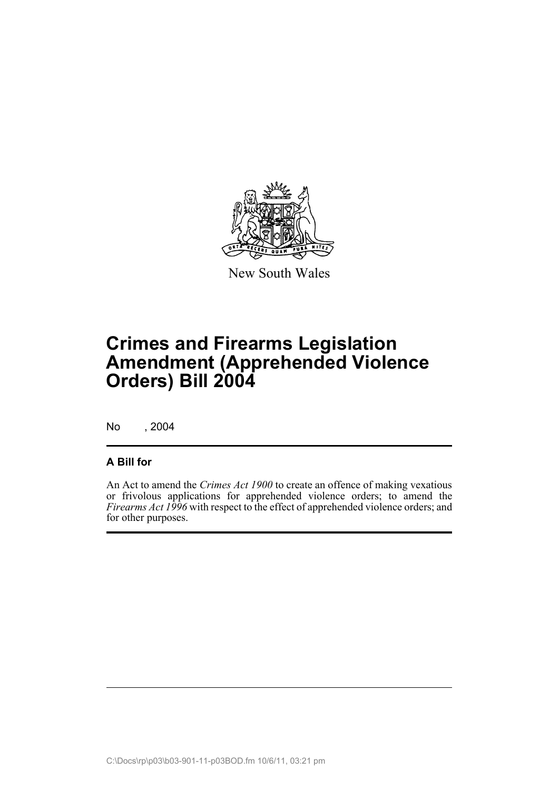

New South Wales

## **Crimes and Firearms Legislation Amendment (Apprehended Violence Orders) Bill 2004**

No , 2004

## **A Bill for**

An Act to amend the *Crimes Act 1900* to create an offence of making vexatious or frivolous applications for apprehended violence orders; to amend the *Firearms Act 1996* with respect to the effect of apprehended violence orders; and for other purposes.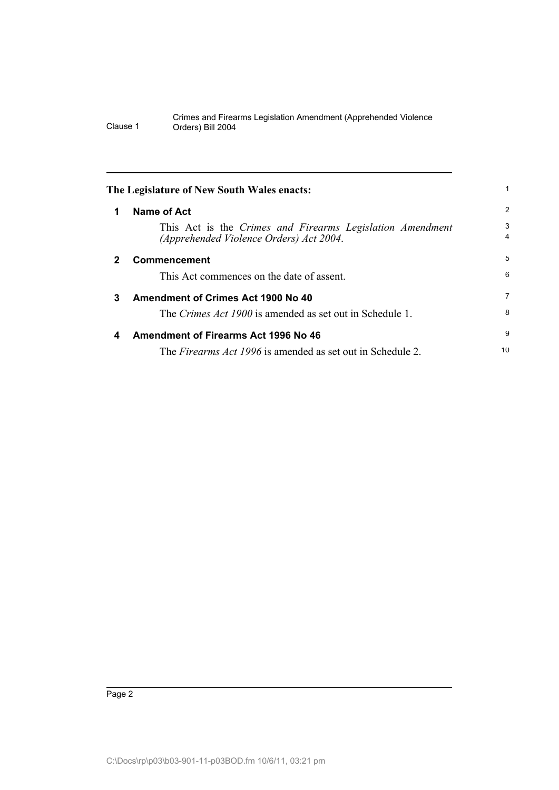|             | The Legislature of New South Wales enacts:                                                           |                     |
|-------------|------------------------------------------------------------------------------------------------------|---------------------|
| 1           | Name of Act                                                                                          | 2                   |
|             | This Act is the Crimes and Firearms Legislation Amendment<br>(Apprehended Violence Orders) Act 2004. | 3<br>$\overline{4}$ |
| $\mathbf 2$ | Commencement                                                                                         | 5                   |
|             | This Act commences on the date of assent.                                                            | 6                   |
| 3           | Amendment of Crimes Act 1900 No 40                                                                   | 7                   |
|             | The <i>Crimes Act 1900</i> is amended as set out in Schedule 1.                                      | 8                   |
| 4           | Amendment of Firearms Act 1996 No 46                                                                 | 9                   |
|             | The <i>Firearms Act 1996</i> is amended as set out in Schedule 2.                                    | 10                  |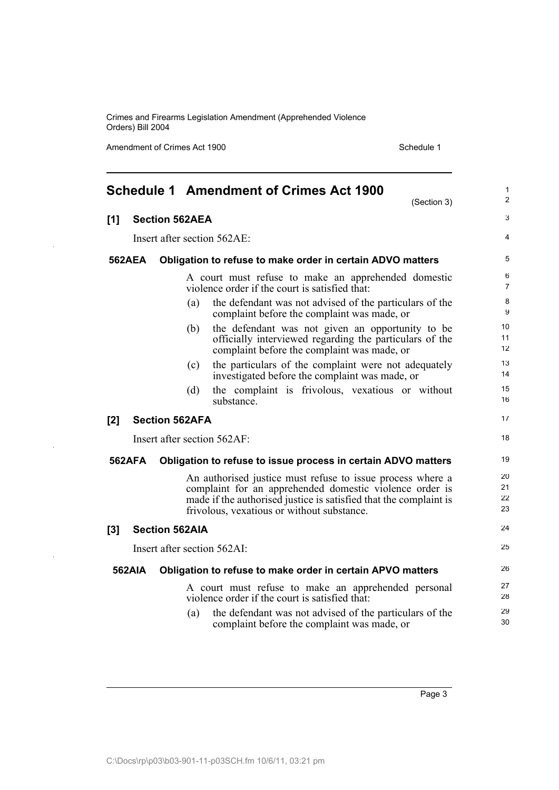Amendment of Crimes Act 1900 Schedule 1

|               |                       |     | <b>Schedule 1 Amendment of Crimes Act 1900</b><br>(Section 3)                                                                                                                                                                            | 1<br>$\overline{2}$  |
|---------------|-----------------------|-----|------------------------------------------------------------------------------------------------------------------------------------------------------------------------------------------------------------------------------------------|----------------------|
| [1]           | <b>Section 562AEA</b> |     |                                                                                                                                                                                                                                          | 3                    |
|               |                       |     | Insert after section 562AE:                                                                                                                                                                                                              | 4                    |
| 562AEA        |                       |     | Obligation to refuse to make order in certain ADVO matters                                                                                                                                                                               | 5                    |
|               |                       |     | A court must refuse to make an apprehended domestic<br>violence order if the court is satisfied that:                                                                                                                                    | 6<br>$\overline{7}$  |
|               |                       | (a) | the defendant was not advised of the particulars of the<br>complaint before the complaint was made, or                                                                                                                                   | 8<br>9               |
|               |                       | (b) | the defendant was not given an opportunity to be<br>officially interviewed regarding the particulars of the<br>complaint before the complaint was made, or                                                                               | 10<br>11<br>12       |
|               |                       | (c) | the particulars of the complaint were not adequately<br>investigated before the complaint was made, or                                                                                                                                   | 13<br>14             |
|               |                       | (d) | the complaint is frivolous, vexatious or without<br>substance.                                                                                                                                                                           | 15<br>16             |
| [2]           | <b>Section 562AFA</b> |     |                                                                                                                                                                                                                                          | 17                   |
|               |                       |     | Insert after section 562AF:                                                                                                                                                                                                              | 18                   |
| <b>562AFA</b> |                       |     | Obligation to refuse to issue process in certain ADVO matters                                                                                                                                                                            | 19                   |
|               |                       |     | An authorised justice must refuse to issue process where a<br>complaint for an apprehended domestic violence order is<br>made if the authorised justice is satisfied that the complaint is<br>frivolous, vexatious or without substance. | 20<br>21<br>22<br>23 |
| [3]           | <b>Section 562AIA</b> |     |                                                                                                                                                                                                                                          | 24                   |
|               |                       |     | Insert after section 562AI:                                                                                                                                                                                                              | 25                   |
| <b>562AIA</b> |                       |     | Obligation to refuse to make order in certain APVO matters                                                                                                                                                                               | 26                   |
|               |                       |     | A court must refuse to make an apprehended personal<br>violence order if the court is satisfied that:                                                                                                                                    | 27<br>28             |
|               |                       | (a) | the defendant was not advised of the particulars of the<br>complaint before the complaint was made, or                                                                                                                                   | 29<br>30             |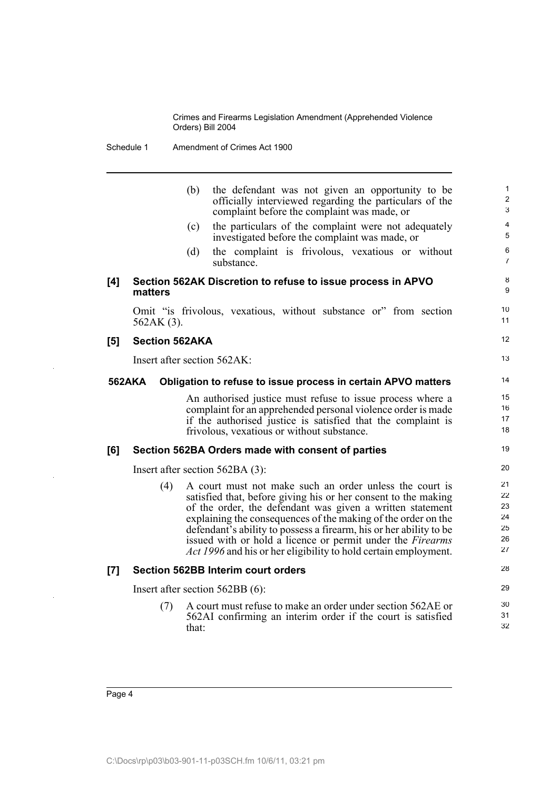Schedule 1 Amendment of Crimes Act 1900

|     |                       | (b)<br>the defendant was not given an opportunity to be<br>officially interviewed regarding the particulars of the<br>complaint before the complaint was made, or                                                                                                                                                                                                                                                                                                     | 1<br>$\overline{c}$<br>3               |
|-----|-----------------------|-----------------------------------------------------------------------------------------------------------------------------------------------------------------------------------------------------------------------------------------------------------------------------------------------------------------------------------------------------------------------------------------------------------------------------------------------------------------------|----------------------------------------|
|     |                       | the particulars of the complaint were not adequately<br>(c)<br>investigated before the complaint was made, or                                                                                                                                                                                                                                                                                                                                                         | 4<br>5                                 |
|     |                       | the complaint is frivolous, vexatious or without<br>(d)<br>substance.                                                                                                                                                                                                                                                                                                                                                                                                 | 6<br>7                                 |
| [4] | matters               | Section 562AK Discretion to refuse to issue process in APVO                                                                                                                                                                                                                                                                                                                                                                                                           | 8<br>9                                 |
|     | $562AK(3)$ .          | Omit "is frivolous, vexatious, without substance or" from section                                                                                                                                                                                                                                                                                                                                                                                                     | 10<br>11                               |
| [5] | <b>Section 562AKA</b> |                                                                                                                                                                                                                                                                                                                                                                                                                                                                       | 12                                     |
|     |                       | Insert after section 562AK:                                                                                                                                                                                                                                                                                                                                                                                                                                           | 13                                     |
|     | 562AKA                | Obligation to refuse to issue process in certain APVO matters                                                                                                                                                                                                                                                                                                                                                                                                         | 14                                     |
|     |                       | An authorised justice must refuse to issue process where a<br>complaint for an apprehended personal violence order is made<br>if the authorised justice is satisfied that the complaint is<br>frivolous, vexatious or without substance.                                                                                                                                                                                                                              | 15<br>16<br>17<br>18                   |
| [6] |                       | Section 562BA Orders made with consent of parties                                                                                                                                                                                                                                                                                                                                                                                                                     | 19                                     |
|     |                       | Insert after section $562BA(3)$ :                                                                                                                                                                                                                                                                                                                                                                                                                                     | 20                                     |
|     | (4)                   | A court must not make such an order unless the court is<br>satisfied that, before giving his or her consent to the making<br>of the order, the defendant was given a written statement<br>explaining the consequences of the making of the order on the<br>defendant's ability to possess a firearm, his or her ability to be<br>issued with or hold a licence or permit under the <i>Firearms</i><br>Act 1996 and his or her eligibility to hold certain employment. | 21<br>22<br>23<br>24<br>25<br>26<br>27 |
| [7] |                       | <b>Section 562BB Interim court orders</b>                                                                                                                                                                                                                                                                                                                                                                                                                             | 28                                     |
|     |                       | Insert after section 562BB (6):                                                                                                                                                                                                                                                                                                                                                                                                                                       | 29                                     |
|     | (7)                   | A court must refuse to make an order under section 562AE or<br>562AI confirming an interim order if the court is satisfied<br>that:                                                                                                                                                                                                                                                                                                                                   | 30<br>31<br>32                         |
|     |                       |                                                                                                                                                                                                                                                                                                                                                                                                                                                                       |                                        |

l.

 $\ddot{\phantom{a}}$ 

l.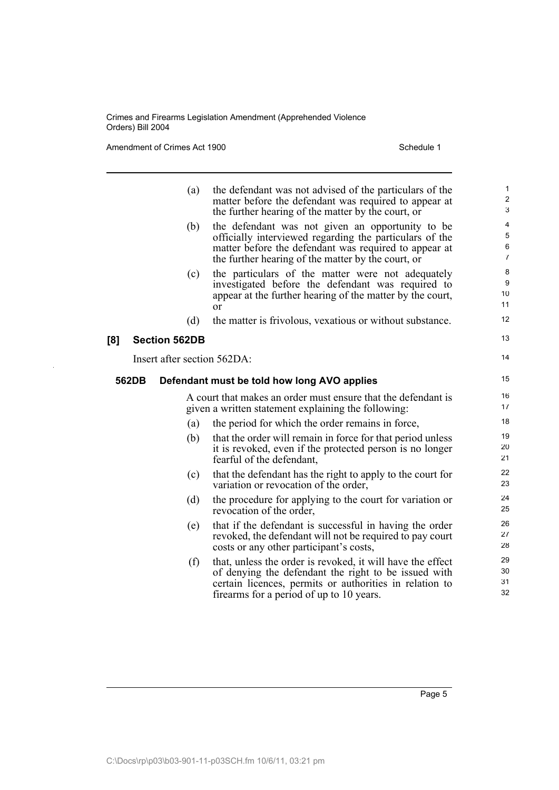Amendment of Crimes Act 1900 Schedule 1

l,

|     |       | (a)                         | the defendant was not advised of the particulars of the<br>matter before the defendant was required to appear at<br>the further hearing of the matter by the court, or                                                     | 1<br>$\overline{2}$<br>$\mathsf 3$           |
|-----|-------|-----------------------------|----------------------------------------------------------------------------------------------------------------------------------------------------------------------------------------------------------------------------|----------------------------------------------|
|     |       | (b)                         | the defendant was not given an opportunity to be<br>officially interviewed regarding the particulars of the<br>matter before the defendant was required to appear at<br>the further hearing of the matter by the court, or | 4<br>5<br>$\boldsymbol{6}$<br>$\overline{7}$ |
|     |       | (c)                         | the particulars of the matter were not adequately<br>investigated before the defendant was required to<br>appear at the further hearing of the matter by the court,<br>or                                                  | 8<br>9<br>10<br>11                           |
|     |       | (d)                         | the matter is frivolous, vexatious or without substance.                                                                                                                                                                   | 12                                           |
| [8] |       | <b>Section 562DB</b>        |                                                                                                                                                                                                                            | 13                                           |
|     |       | Insert after section 562DA: |                                                                                                                                                                                                                            | 14                                           |
|     | 562DB |                             | Defendant must be told how long AVO applies                                                                                                                                                                                | 15                                           |
|     |       |                             | A court that makes an order must ensure that the defendant is<br>given a written statement explaining the following:                                                                                                       | 16<br>17                                     |
|     |       | (a)                         | the period for which the order remains in force,                                                                                                                                                                           | 18                                           |
|     |       | (b)                         | that the order will remain in force for that period unless<br>it is revoked, even if the protected person is no longer<br>fearful of the defendant,                                                                        | 19<br>20<br>21                               |
|     |       | (c)                         | that the defendant has the right to apply to the court for<br>variation or revocation of the order,                                                                                                                        | 22<br>23                                     |
|     |       | (d)                         | the procedure for applying to the court for variation or<br>revocation of the order,                                                                                                                                       | 24<br>25                                     |
|     |       | (e)                         | that if the defendant is successful in having the order<br>revoked, the defendant will not be required to pay court<br>costs or any other participant's costs,                                                             | 26<br>27<br>28                               |
|     |       | (f)                         | that, unless the order is revoked, it will have the effect<br>of denying the defendant the right to be issued with<br>certain licences, permits or authorities in relation to<br>firearms for a period of up to 10 years.  | 29<br>30<br>31<br>32                         |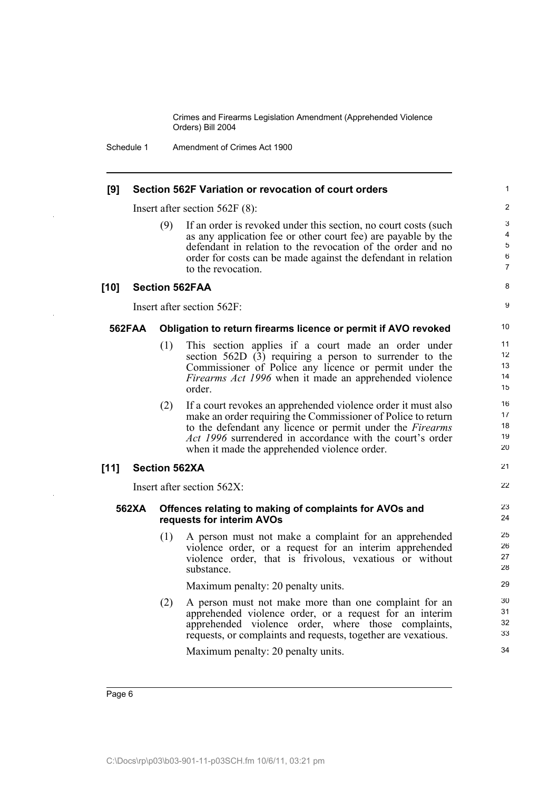Schedule 1 Amendment of Crimes Act 1900

### **[9] Section 562F Variation or revocation of court orders**

Insert after section 562F (8):

(9) If an order is revoked under this section, no court costs (such as any application fee or other court fee) are payable by the defendant in relation to the revocation of the order and no order for costs can be made against the defendant in relation to the revocation.

9

22

#### **[10] Section 562FAA**

Insert after section 562F:

#### **562FAA Obligation to return firearms licence or permit if AVO revoked**

- (1) This section applies if a court made an order under section 562D  $(\overline{3})$  requiring a person to surrender to the Commissioner of Police any licence or permit under the *Firearms Act 1996* when it made an apprehended violence order.
- (2) If a court revokes an apprehended violence order it must also make an order requiring the Commissioner of Police to return to the defendant any licence or permit under the *Firearms Act 1996* surrendered in accordance with the court's order when it made the apprehended violence order.

#### **[11] Section 562XA**

Insert after section 562X:

#### **562XA Offences relating to making of complaints for AVOs and requests for interim AVOs**

(1) A person must not make a complaint for an apprehended violence order, or a request for an interim apprehended violence order, that is frivolous, vexatious or without substance.

Maximum penalty: 20 penalty units.

(2) A person must not make more than one complaint for an apprehended violence order, or a request for an interim apprehended violence order, where those complaints, requests, or complaints and requests, together are vexatious.

Maximum penalty: 20 penalty units.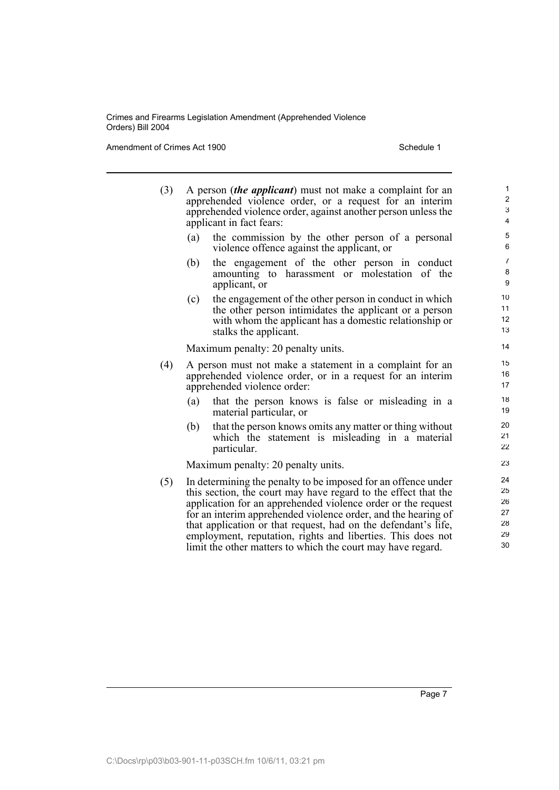Amendment of Crimes Act 1900 New York 1990 New York 1990 Schedule 1

| (3) | A person <i>(the applicant)</i> must not make a complaint for an |
|-----|------------------------------------------------------------------|
|     | apprehended violence order, or a request for an interim          |
|     | apprehended violence order, against another person unless the    |
|     | applicant in fact fears:                                         |
|     | (a) the commission by the other person of a personal             |

- (a) the commission by the other person of a personal violence offence against the applicant, or
- (b) the engagement of the other person in conduct amounting to harassment or molestation of the applicant, or
- (c) the engagement of the other person in conduct in which the other person intimidates the applicant or a person with whom the applicant has a domestic relationship or stalks the applicant.

Maximum penalty: 20 penalty units.

- (4) A person must not make a statement in a complaint for an apprehended violence order, or in a request for an interim apprehended violence order:
	- (a) that the person knows is false or misleading in a material particular, or
	- (b) that the person knows omits any matter or thing without which the statement is misleading in a material particular.

Maximum penalty: 20 penalty units.

(5) In determining the penalty to be imposed for an offence under this section, the court may have regard to the effect that the application for an apprehended violence order or the request for an interim apprehended violence order, and the hearing of that application or that request, had on the defendant's life, employment, reputation, rights and liberties. This does not limit the other matters to which the court may have regard.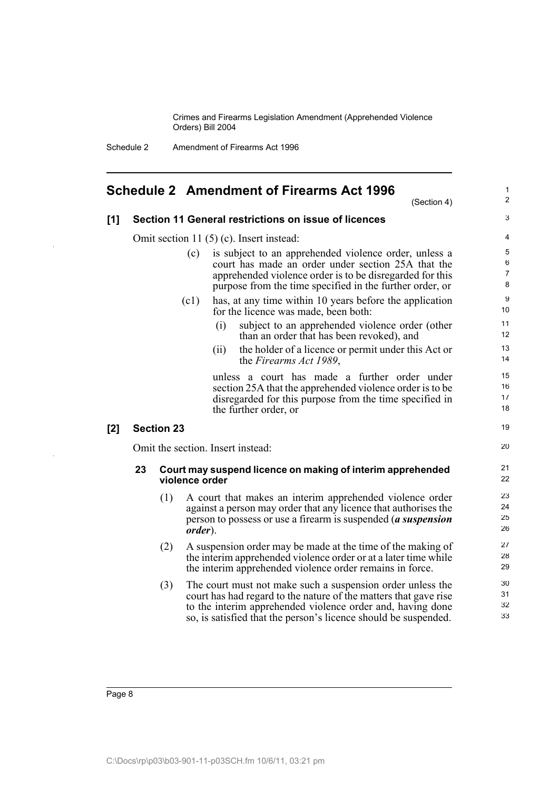Schedule 2 Amendment of Firearms Act 1996

## **Schedule 2 Amendment of Firearms Act 1996**

(Section 4)

1 2 3

19  $20$ 

## **[1] Section 11 General restrictions on issue of licences**

Omit section 11 (5) (c). Insert instead:

| (c)  | is subject to an apprehended violence order, unless a<br>court has made an order under section 25A that the<br>apprehended violence order is to be disregarded for this<br>purpose from the time specified in the further order, or |  |
|------|-------------------------------------------------------------------------------------------------------------------------------------------------------------------------------------------------------------------------------------|--|
| (c1) | has, at any time within 10 years before the application                                                                                                                                                                             |  |

- for the licence was made, been both:
	- (i) subject to an apprehended violence order (other than an order that has been revoked), and
	- (ii) the holder of a licence or permit under this Act or the *Firearms Act 1989*,

unless a court has made a further order under section 25A that the apprehended violence order is to be disregarded for this purpose from the time specified in the further order, or

## **[2] Section 23**

Omit the section. Insert instead:

### **23 Court may suspend licence on making of interim apprehended violence order**

- (1) A court that makes an interim apprehended violence order against a person may order that any licence that authorises the person to possess or use a firearm is suspended (*a suspension order*).
- (2) A suspension order may be made at the time of the making of the interim apprehended violence order or at a later time while the interim apprehended violence order remains in force.
- (3) The court must not make such a suspension order unless the court has had regard to the nature of the matters that gave rise to the interim apprehended violence order and, having done so, is satisfied that the person's licence should be suspended.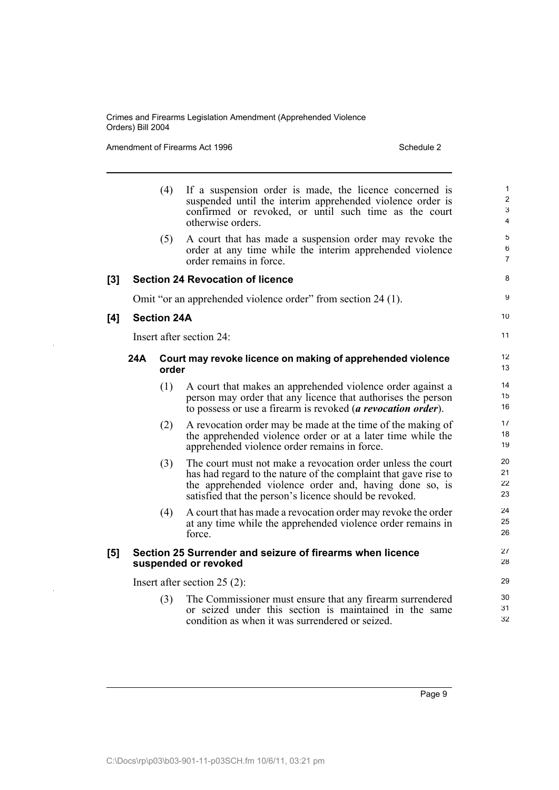Amendment of Firearms Act 1996 Schedule 2

l,

 $\ddot{\phantom{a}}$ 

|     |     | (4)                | If a suspension order is made, the licence concerned is<br>suspended until the interim apprehended violence order is<br>confirmed or revoked, or until such time as the court<br>otherwise orders.                                                 | 1<br>$\overline{2}$<br>3<br>4  |
|-----|-----|--------------------|----------------------------------------------------------------------------------------------------------------------------------------------------------------------------------------------------------------------------------------------------|--------------------------------|
|     |     | (5)                | A court that has made a suspension order may revoke the<br>order at any time while the interim apprehended violence<br>order remains in force.                                                                                                     | 5<br>$\,6\,$<br>$\overline{7}$ |
| [3] |     |                    | <b>Section 24 Revocation of licence</b>                                                                                                                                                                                                            | 8                              |
|     |     |                    | Omit "or an apprehended violence order" from section 24 (1).                                                                                                                                                                                       | 9                              |
| [4] |     | <b>Section 24A</b> |                                                                                                                                                                                                                                                    | 10                             |
|     |     |                    | Insert after section 24:                                                                                                                                                                                                                           | 11                             |
|     | 24A | order              | Court may revoke licence on making of apprehended violence                                                                                                                                                                                         | 12<br>13                       |
|     |     | (1)                | A court that makes an apprehended violence order against a<br>person may order that any licence that authorises the person<br>to possess or use a firearm is revoked (a revocation order).                                                         | 14<br>15<br>16                 |
|     |     | (2)                | A revocation order may be made at the time of the making of<br>the apprehended violence order or at a later time while the<br>apprehended violence order remains in force.                                                                         | 17<br>18<br>19                 |
|     |     | (3)                | The court must not make a revocation order unless the court<br>has had regard to the nature of the complaint that gave rise to<br>the apprehended violence order and, having done so, is<br>satisfied that the person's licence should be revoked. | 20<br>21<br>22<br>23           |
|     |     | (4)                | A court that has made a revocation order may revoke the order<br>at any time while the apprehended violence order remains in<br>force.                                                                                                             | 24<br>25<br>26                 |
| [5] |     |                    | Section 25 Surrender and seizure of firearms when licence<br>suspended or revoked                                                                                                                                                                  | 27<br>28                       |
|     |     |                    | Insert after section $25(2)$ :                                                                                                                                                                                                                     | 29                             |
|     |     | (3)                | The Commissioner must ensure that any firearm surrendered<br>or seized under this section is maintained in the same<br>condition as when it was surrendered or seized.                                                                             | 30<br>31<br>32                 |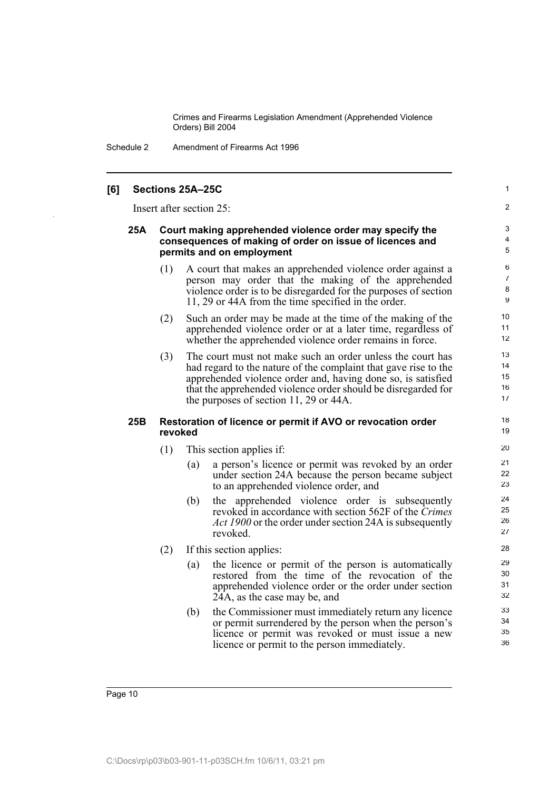Schedule 2 Amendment of Firearms Act 1996

#### **[6] Sections 25A–25C** Insert after section 25: **25A Court making apprehended violence order may specify the consequences of making of order on issue of licences and permits and on employment** (1) A court that makes an apprehended violence order against a person may order that the making of the apprehended violence order is to be disregarded for the purposes of section 11, 29 or 44A from the time specified in the order. (2) Such an order may be made at the time of the making of the apprehended violence order or at a later time, regardless of whether the apprehended violence order remains in force. (3) The court must not make such an order unless the court has had regard to the nature of the complaint that gave rise to the apprehended violence order and, having done so, is satisfied that the apprehended violence order should be disregarded for the purposes of section 11, 29 or 44A. **25B Restoration of licence or permit if AVO or revocation order revoked** (1) This section applies if: (a) a person's licence or permit was revoked by an order under section 24A because the person became subject to an apprehended violence order, and (b) the apprehended violence order is subsequently revoked in accordance with section 562F of the *Crimes Act 1900* or the order under section 24A is subsequently revoked. (2) If this section applies: (a) the licence or permit of the person is automatically restored from the time of the revocation of the apprehended violence order or the order under section 24A, as the case may be, and (b) the Commissioner must immediately return any licence or permit surrendered by the person when the person's licence or permit was revoked or must issue a new licence or permit to the person immediately. 1  $\overline{2}$ 3 4 5 6 7 8 9 10 11 12 13 14 15 16 17 18 19 20 21 22 23 24 25 26 27 28 29 30 31 32 33 34 35 36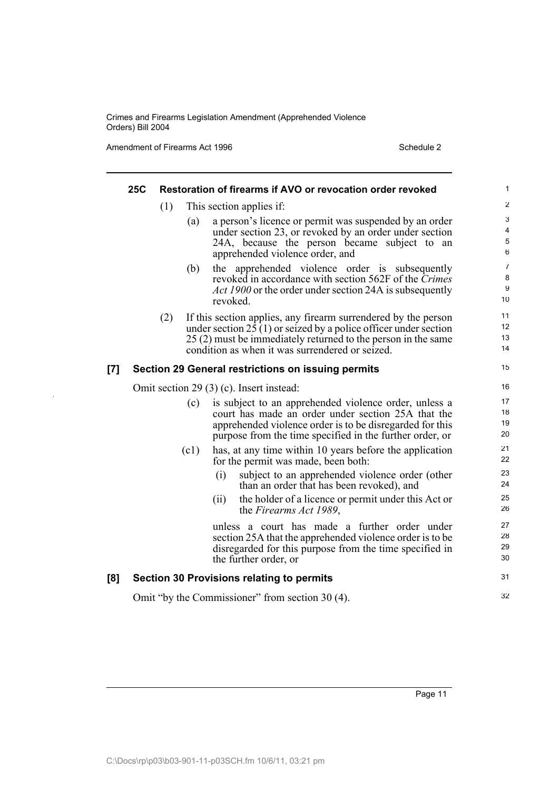Amendment of Firearms Act 1996 Schedule 2

 $\hat{\mathcal{L}}$ 

|     | <b>25C</b>                                      |     |      | Restoration of firearms if AVO or revocation order revoked                                                                                                                                                                                              | $\mathbf{1}$                                  |
|-----|-------------------------------------------------|-----|------|---------------------------------------------------------------------------------------------------------------------------------------------------------------------------------------------------------------------------------------------------------|-----------------------------------------------|
|     | (1)<br>This section applies if:                 |     |      |                                                                                                                                                                                                                                                         | $\overline{2}$                                |
|     |                                                 |     | (a)  | a person's licence or permit was suspended by an order<br>under section 23, or revoked by an order under section<br>24A, because the person became subject to an<br>apprehended violence order, and                                                     | 3<br>4<br>5<br>6                              |
|     |                                                 |     | (b)  | the apprehended violence order is subsequently<br>revoked in accordance with section 562F of the Crimes<br><i>Act 1900</i> or the order under section 24A is subsequently<br>revoked.                                                                   | $\overline{7}$<br>8<br>$\boldsymbol{9}$<br>10 |
|     |                                                 | (2) |      | If this section applies, any firearm surrendered by the person<br>under section $25(1)$ or seized by a police officer under section<br>25 (2) must be immediately returned to the person in the same<br>condition as when it was surrendered or seized. | 11<br>12<br>13<br>14                          |
| [7] |                                                 |     |      | <b>Section 29 General restrictions on issuing permits</b>                                                                                                                                                                                               | 15                                            |
|     | Omit section 29 (3) (c). Insert instead:        |     |      |                                                                                                                                                                                                                                                         |                                               |
|     |                                                 |     | (c)  | is subject to an apprehended violence order, unless a<br>court has made an order under section 25A that the<br>apprehended violence order is to be disregarded for this<br>purpose from the time specified in the further order, or                     | 17<br>18<br>19<br>20                          |
|     |                                                 |     | (c1) | has, at any time within 10 years before the application<br>for the permit was made, been both:                                                                                                                                                          | 21<br>22                                      |
|     |                                                 |     |      | (i)<br>subject to an apprehended violence order (other<br>than an order that has been revoked), and                                                                                                                                                     | 23<br>24                                      |
|     |                                                 |     |      | (ii)<br>the holder of a licence or permit under this Act or<br>the Firearms Act 1989,                                                                                                                                                                   | 25<br>26                                      |
|     |                                                 |     |      | unless a court has made a further order under<br>section 25A that the apprehended violence order is to be<br>disregarded for this purpose from the time specified in<br>the further order, or                                                           | 27<br>28<br>29<br>30                          |
| [8] |                                                 |     |      | <b>Section 30 Provisions relating to permits</b>                                                                                                                                                                                                        | 31                                            |
|     | Omit "by the Commissioner" from section 30 (4). |     |      | 32                                                                                                                                                                                                                                                      |                                               |